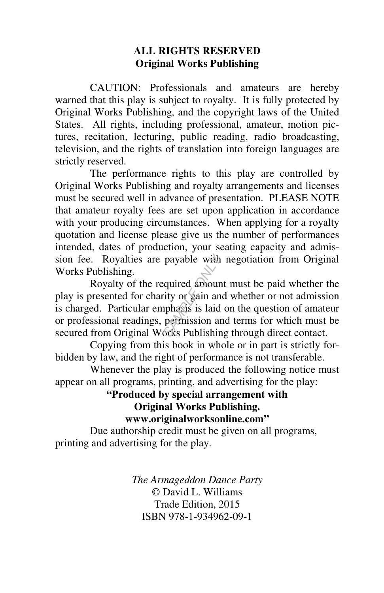# **ALL RIGHTS RESERVED Original Works Publishing**

 CAUTION: Professionals and amateurs are hereby warned that this play is subject to royalty. It is fully protected by Original Works Publishing, and the copyright laws of the United States. All rights, including professional, amateur, motion pictures, recitation, lecturing, public reading, radio broadcasting, television, and the rights of translation into foreign languages are strictly reserved.

 The performance rights to this play are controlled by Original Works Publishing and royalty arrangements and licenses must be secured well in advance of presentation. PLEASE NOTE that amateur royalty fees are set upon application in accordance with your producing circumstances. When applying for a royalty quotation and license please give us the number of performances intended, dates of production, your seating capacity and admission fee. Royalties are payable with negotiation from Original Works Publishing.

 Royalty of the required amount must be paid whether the play is presented for charity or gain and whether or not admission is charged. Particular emphasis is laid on the question of amateur or professional readings, permission and terms for which must be secured from Original Works Publishing through direct contact. *SAMPLE ONLY*

 Copying from this book in whole or in part is strictly forbidden by law, and the right of performance is not transferable.

 Whenever the play is produced the following notice must appear on all programs, printing, and advertising for the play:

# **"Produced by special arrangement with Original Works Publishing.**

**www.originalworksonline.com"** 

 Due authorship credit must be given on all programs, printing and advertising for the play.

> *The Armageddon Dance Party* © David L. Williams Trade Edition, 2015 ISBN 978-1-934962-09-1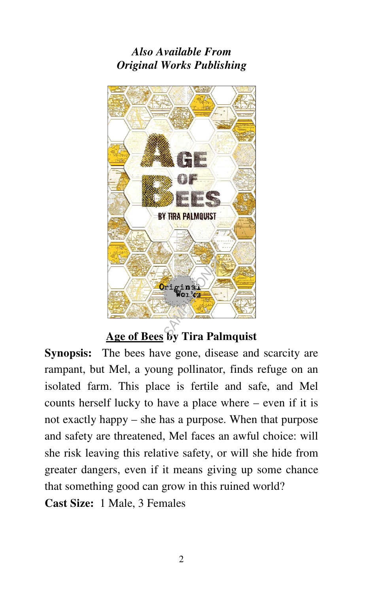# *Also Available From Original Works Publishing*



# **Age of Bees by Tira Palmquist**

**Synopsis:** The bees have gone, disease and scarcity are rampant, but Mel, a young pollinator, finds refuge on an isolated farm. This place is fertile and safe, and Mel counts herself lucky to have a place where – even if it is not exactly happy – she has a purpose. When that purpose and safety are threatened, Mel faces an awful choice: will she risk leaving this relative safety, or will she hide from greater dangers, even if it means giving up some chance that something good can grow in this ruined world?

**Cast Size:** 1 Male, 3 Females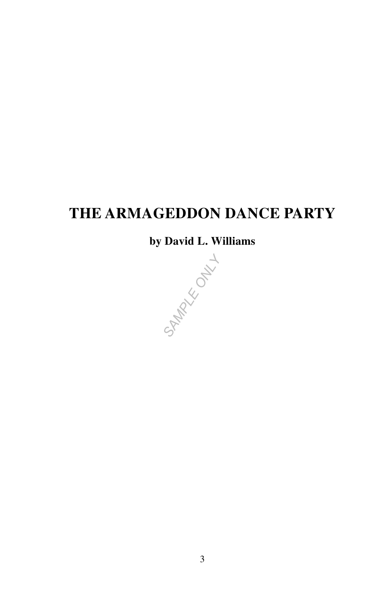# **THE ARMAGEDDON DANCE PARTY**

**by David L. Williams** 

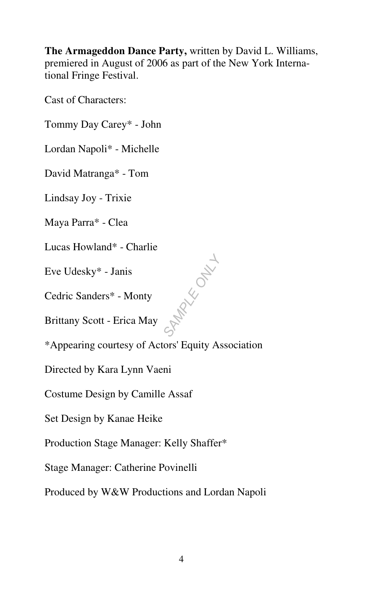**The Armageddon Dance Party,** written by David L. Williams, premiered in August of 2006 as part of the New York International Fringe Festival.

Cast of Characters:

Tommy Day Carey\* - John

Lordan Napoli\* - Michelle

David Matranga\* - Tom

Lindsay Joy - Trixie

Maya Parra\* - Clea

Lucas Howland\* - Charlie

Eve Udesky\* - Janis

Cedric Sanders\* - Monty

Brittany Scott - Erica May

\*Appearing courtesy of Actors' Equity Association

**MAX**<br>KKOOKL

Directed by Kara Lynn Vaeni

Costume Design by Camille Assaf

Set Design by Kanae Heike

Production Stage Manager: Kelly Shaffer\*

Stage Manager: Catherine Povinelli

Produced by W&W Productions and Lordan Napoli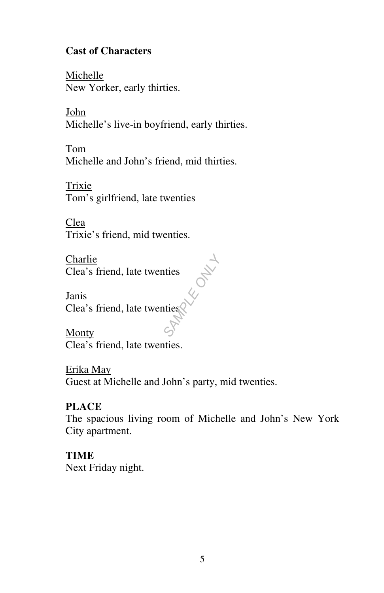# **Cast of Characters**

Michelle New Yorker, early thirties.

John Michelle's live-in boyfriend, early thirties.

Tom Michelle and John's friend, mid thirties.

Trixie Tom's girlfriend, late twenties

Clea Trixie's friend, mid twenties.

Charlie Clea's friend, late twenties

Janis Clea's friend, late twenties *SAMPLE ONLY*

**Monty** Clea's friend, late twenties.

Erika May Guest at Michelle and John's party, mid twenties.

# **PLACE**

The spacious living room of Michelle and John's New York City apartment.

# **TIME**

Next Friday night.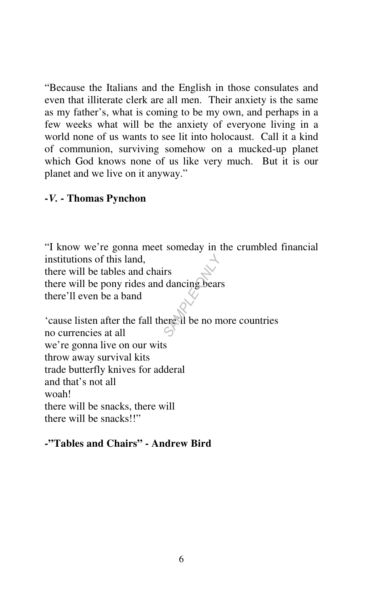"Because the Italians and the English in those consulates and even that illiterate clerk are all men. Their anxiety is the same as my father's, what is coming to be my own, and perhaps in a few weeks what will be the anxiety of everyone living in a world none of us wants to see lit into holocaust. Call it a kind of communion, surviving somehow on a mucked-up planet which God knows none of us like very much. But it is our planet and we live on it anyway."

# **-***V.* **- Thomas Pynchon**

"I know we're gonna meet someday in the crumbled financial institutions of this land, there will be tables and chairs there will be pony rides and dancing bears there'll even be a band First dancing bears<br>
dancing bears<br>
ere all be no m

'cause listen after the fall there'll be no more countries no currencies at all we're gonna live on our wits throw away survival kits trade butterfly knives for adderal and that's not all woah! there will be snacks, there will there will be snacks!!"

#### **-"Tables and Chairs" - Andrew Bird**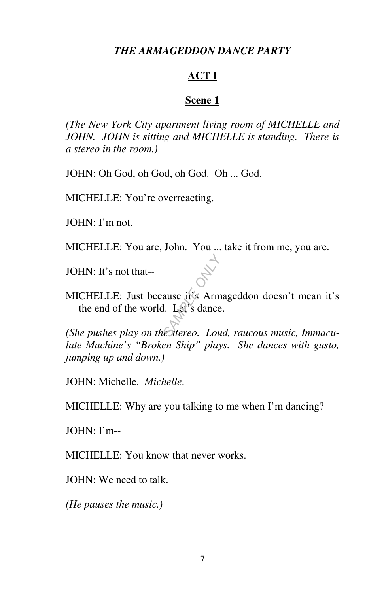#### *THE ARMAGEDDON DANCE PARTY*

#### **ACT I**

#### **Scene 1**

*(The New York City apartment living room of MICHELLE and JOHN. JOHN is sitting and MICHELLE is standing. There is a stereo in the room.)* 

JOHN: Oh God, oh God, oh God. Oh ... God.

MICHELLE: You're overreacting.

JOHN: I'm not.

MICHELLE: You are, John. You ... take it from me, you are.

JOHN: It's not that--

MICHELLE: Just because it's Armageddon doesn't mean it's the end of the world. Let's dance. *(She pushes play on the stereo. Loud, raucous music, Immacu-*<br> *(She pushes play on the stereo. Loud, raucous music, Immacu-*

*late Machine's "Broken Ship" plays. She dances with gusto, jumping up and down.)* 

JOHN: Michelle. *Michelle*.

MICHELLE: Why are you talking to me when I'm dancing?

JOHN: I'm--

MICHELLE: You know that never works.

JOHN: We need to talk.

*(He pauses the music.)*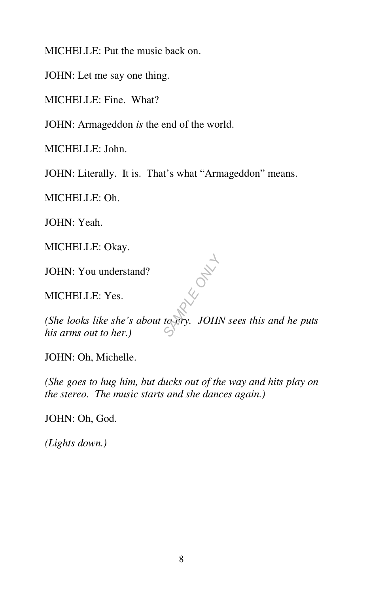MICHELLE: Put the music back on.

JOHN: Let me say one thing.

MICHELLE: Fine. What?

JOHN: Armageddon *is* the end of the world.

MICHELLE: John.

JOHN: Literally. It is. That's what "Armageddon" means.

MICHELLE: Oh.

JOHN: Yeah.

MICHELLE: Okay.

JOHN: You understand?

MICHELLE: Yes.

*(She looks like she's about to cry. JOHN sees this and he puts his arms out to her.)*  **SAMPLE ONLY ONLY** 

JOHN: Oh, Michelle.

*(She goes to hug him, but ducks out of the way and hits play on the stereo. The music starts and she dances again.)* 

JOHN: Oh, God.

*(Lights down.)*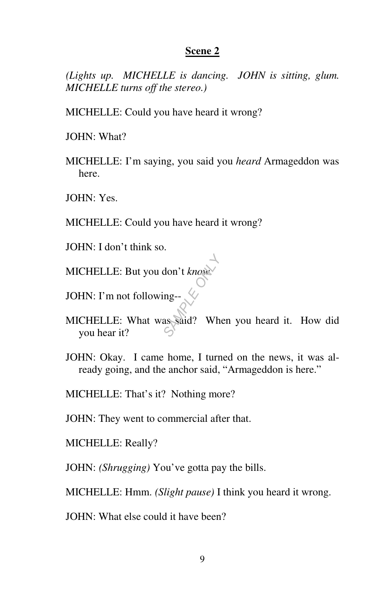*(Lights up. MICHELLE is dancing. JOHN is sitting, glum. MICHELLE turns off the stereo.)* 

MICHELLE: Could you have heard it wrong?

JOHN: What?

MICHELLE: I'm saying, you said you *heard* Armageddon was here.

JOHN: Yes.

MICHELLE: Could you have heard it wrong?

JOHN: I don't think so.

MICHELLE: But you don't *know*.

JOHN: I'm not following-- $\bigotimes$ 

- MICHELLE: What was said? When you heard it. How did you hear it? don't know
- JOHN: Okay. I came home, I turned on the news, it was already going, and the anchor said, "Armageddon is here."

MICHELLE: That's it? Nothing more?

JOHN: They went to commercial after that.

MICHELLE: Really?

JOHN: *(Shrugging)* You've gotta pay the bills.

MICHELLE: Hmm. *(Slight pause)* I think you heard it wrong.

JOHN: What else could it have been?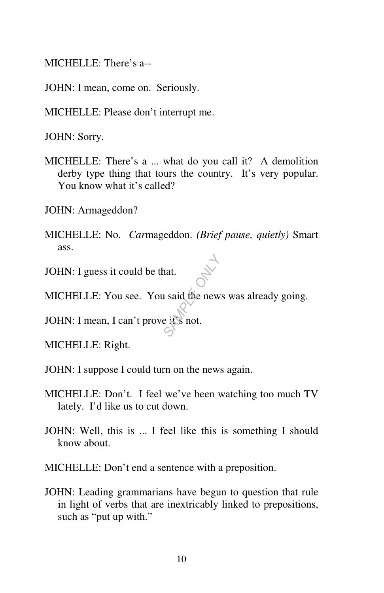MICHELLE: There's a--

JOHN: I mean, come on. Seriously.

MICHELLE: Please don't interrupt me.

JOHN: Sorry.

MICHELLE: There's a ... what do you call it? A demolition derby type thing that tours the country. It's very popular. You know what it's called?

JOHN: Armageddon?

MICHELLE: No. *Car*mageddon. *(Brief pause, quietly)* Smart ass.

JOHN: I guess it could be that.

MICHELLE: You see. You said the news was already going. at.<br> **SAMPLE ONLY**<br> **SAMPLE ONLY**<br>
SAMPLE ONLY SAMPLE OF SAMPLE OF SAMPLE OF SAMPLE

JOHN: I mean, I can't prove it's not.

MICHELLE: Right.

JOHN: I suppose I could turn on the news again.

- MICHELLE: Don't. I feel we've been watching too much TV lately. I'd like us to cut down.
- JOHN: Well, this is ... I feel like this is something I should know about.

MICHELLE: Don't end a sentence with a preposition.

JOHN: Leading grammarians have begun to question that rule in light of verbs that are inextricably linked to prepositions, such as "put up with."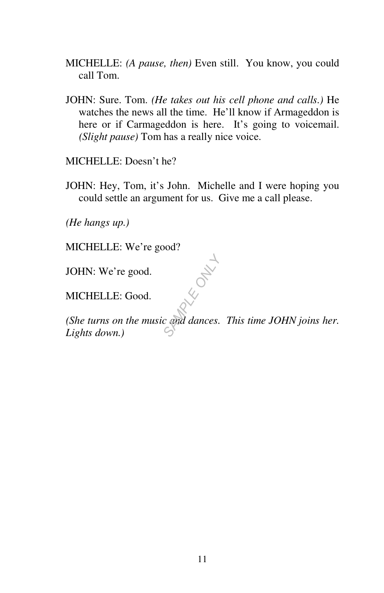- MICHELLE: *(A pause, then)* Even still. You know, you could call Tom.
- JOHN: Sure. Tom. *(He takes out his cell phone and calls.)* He watches the news all the time. He'll know if Armageddon is here or if Carmageddon is here. It's going to voicemail. *(Slight pause)* Tom has a really nice voice.

MICHELLE: Doesn't he?

JOHN: Hey, Tom, it's John. Michelle and I were hoping you could settle an argument for us. Give me a call please.

*(He hangs up.)* 

MICHELLE: We're good?

JOHN: We're good.

MICHELLE: Good.

*(She turns on the music and dances. This time JOHN joins her.*  **Lights down.**<br> *Lights down.*) *CHELLE:* Good.<br> *Che turns on the music and dances.*<br> *Lights down.*)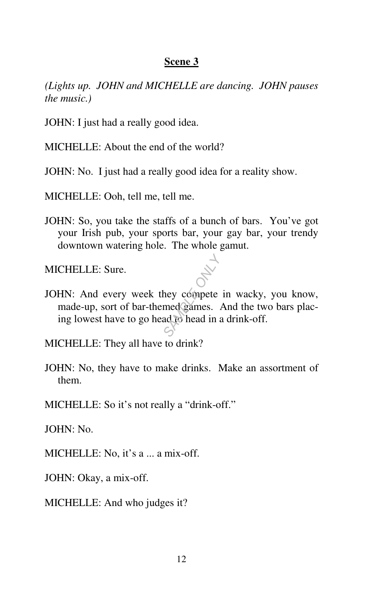*(Lights up. JOHN and MICHELLE are dancing. JOHN pauses the music.)* 

JOHN: I just had a really good idea.

MICHELLE: About the end of the world?

JOHN: No. I just had a really good idea for a reality show.

MICHELLE: Ooh, tell me, tell me.

JOHN: So, you take the staffs of a bunch of bars. You've got your Irish pub, your sports bar, your gay bar, your trendy downtown watering hole. The whole gamut.

MICHELLE: Sure.

JOHN: And every week they compete in wacky, you know, made-up, sort of bar-themed games. And the two bars placing lowest have to go head to head in a drink-off. **SAMPLE OF SAMPLE OF SAMPLE OF SAMPLE OF SAMPLE OF SAMPLE OF SAMPLE OF SAMPLE OF SAMPLE OF SAMPLE OF SAMPLE OF** 

MICHELLE: They all have to drink?

JOHN: No, they have to make drinks. Make an assortment of them.

MICHELLE: So it's not really a "drink-off."

JOHN: No.

MICHELLE: No, it's a ... a mix-off.

JOHN: Okay, a mix-off.

MICHELLE: And who judges it?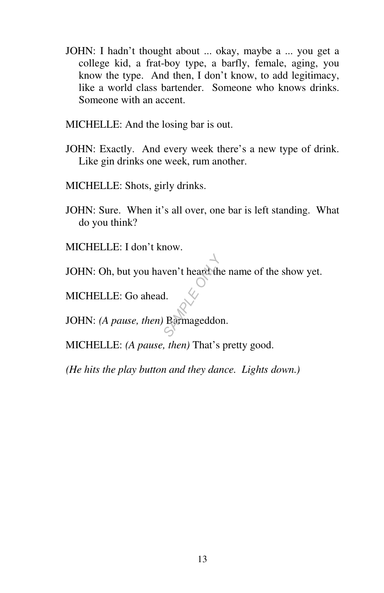- JOHN: I hadn't thought about ... okay, maybe a ... you get a college kid, a frat-boy type, a barfly, female, aging, you know the type. And then, I don't know, to add legitimacy, like a world class bartender. Someone who knows drinks. Someone with an accent.
- MICHELLE: And the losing bar is out.
- JOHN: Exactly. And every week there's a new type of drink. Like gin drinks one week, rum another.
- MICHELLE: Shots, girly drinks.
- JOHN: Sure. When it's all over, one bar is left standing. What do you think?
- MICHELLE: I don't know.
- JOHN: Oh, but you haven't heard the name of the show yet.

MICHELLE: Go ahead.

JOHN: *(A pause, then)* Barmageddon. *SAMPLE ONLY*

MICHELLE: *(A pause, then)* That's pretty good.

*(He hits the play button and they dance. Lights down.)*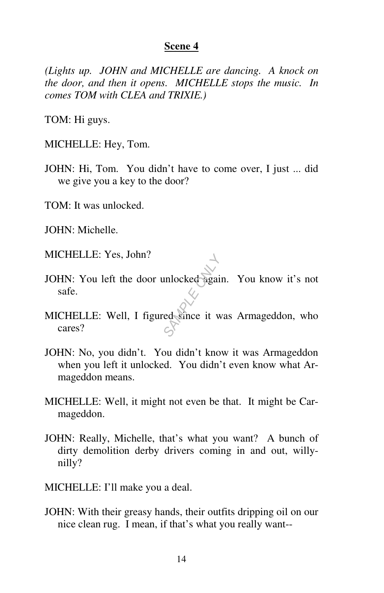*(Lights up. JOHN and MICHELLE are dancing. A knock on the door, and then it opens. MICHELLE stops the music. In comes TOM with CLEA and TRIXIE.)* 

TOM: Hi guys.

MICHELLE: Hey, Tom.

JOHN: Hi, Tom. You didn't have to come over, I just ... did we give you a key to the door?

TOM: It was unlocked.

JOHN: Michelle.

MICHELLE: Yes, John?

- JOHN: You left the door unlocked again. You know it's not safe. **SAMPLE OF STRAKE ORDER**<br>
SAMPLE OF STRAKE OF STRAKE OF STRAKE OF STRAKE OF STRAKE OF STRAKE OF STRAKE OF STRAKE OF STRAKE OF STRAKE OF STRAKE OF STRAKE OF STRAKE OF STRAKE OF STRAKE OF STRAKE OF STRAKE OF STRAKE OF STRAKE
- MICHELLE: Well, I figured since it was Armageddon, who cares?
- JOHN: No, you didn't. You didn't know it was Armageddon when you left it unlocked. You didn't even know what Armageddon means.
- MICHELLE: Well, it might not even be that. It might be Carmageddon.
- JOHN: Really, Michelle, that's what you want? A bunch of dirty demolition derby drivers coming in and out, willynilly?
- MICHELLE: I'll make you a deal.
- JOHN: With their greasy hands, their outfits dripping oil on our nice clean rug. I mean, if that's what you really want--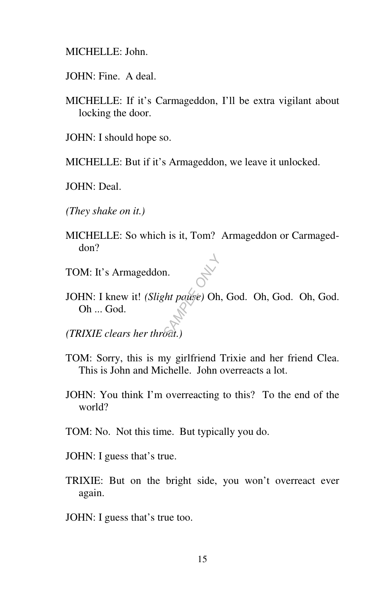MICHELLE: John.

- JOHN: Fine. A deal.
- MICHELLE: If it's Carmageddon, I'll be extra vigilant about locking the door.
- JOHN: I should hope so.

MICHELLE: But if it's Armageddon, we leave it unlocked.

JOHN: Deal.

*(They shake on it.)* 

- MICHELLE: So which is it, Tom? Armageddon or Carmageddon?
- TOM: It's Armageddon.
- JOHN: I knew it! *(Slight pause)* Oh, God. Oh, God. Oh, God. Oh ... God. **n**.<br>*sht pause*) Oh,<br>*Sat.*)

*(TRIXIE clears her throat.)* 

- TOM: Sorry, this is my girlfriend Trixie and her friend Clea. This is John and Michelle. John overreacts a lot.
- JOHN: You think I'm overreacting to this? To the end of the world?
- TOM: No. Not this time. But typically you do.
- JOHN: I guess that's true.
- TRIXIE: But on the bright side, you won't overreact ever again.
- JOHN: I guess that's true too.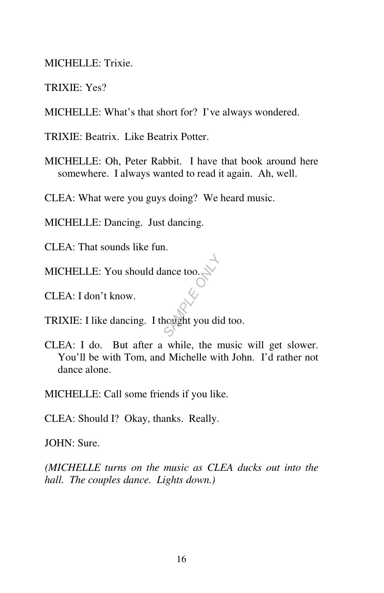MICHELLE: Trixie.

TRIXIE: Yes?

MICHELLE: What's that short for? I've always wondered.

TRIXIE: Beatrix. Like Beatrix Potter.

MICHELLE: Oh, Peter Rabbit. I have that book around here somewhere. I always wanted to read it again. Ah, well.

CLEA: What were you guys doing? We heard music.

MICHELLE: Dancing. Just dancing.

CLEA: That sounds like fun.

MICHELLE: You should dance too.

CLEA: I don't know.

TRIXIE: I like dancing. I thought you did too. ance too.

CLEA: I do. But after a while, the music will get slower. You'll be with Tom, and Michelle with John. I'd rather not dance alone.

MICHELLE: Call some friends if you like.

CLEA: Should I? Okay, thanks. Really.

JOHN: Sure.

*(MICHELLE turns on the music as CLEA ducks out into the hall. The couples dance. Lights down.)*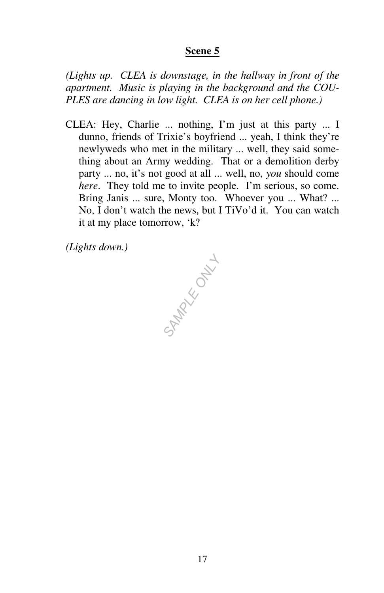*(Lights up. CLEA is downstage, in the hallway in front of the apartment. Music is playing in the background and the COU-PLES are dancing in low light. CLEA is on her cell phone.)* 

CLEA: Hey, Charlie ... nothing, I'm just at this party ... I dunno, friends of Trixie's boyfriend ... yeah, I think they're newlyweds who met in the military ... well, they said something about an Army wedding. That or a demolition derby party ... no, it's not good at all ... well, no, *you* should come *here.* They told me to invite people. I'm serious, so come. Bring Janis ... sure, Monty too. Whoever you ... What? ... No, I don't watch the news, but I TiVo'd it. You can watch it at my place tomorrow, 'k?

*(Lights down.)* 

**SAMPLE ONLY L**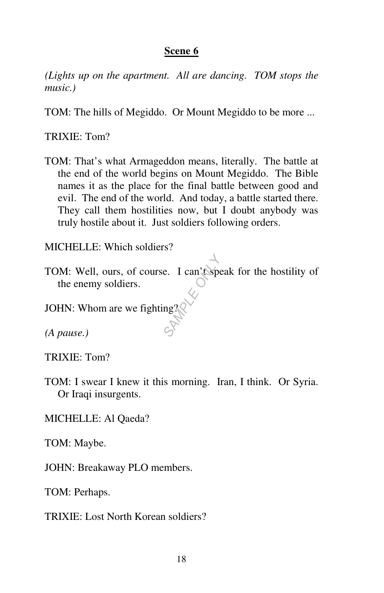*(Lights up on the apartment. All are dancing. TOM stops the music.)* 

TOM: The hills of Megiddo. Or Mount Megiddo to be more ...

TRIXIE: Tom?

TOM: That's what Armageddon means, literally. The battle at the end of the world begins on Mount Megiddo. The Bible names it as the place for the final battle between good and evil. The end of the world. And today, a battle started there. They call them hostilities now, but I doubt anybody was truly hostile about it. Just soldiers following orders.

MICHELLE: Which soldiers?

TOM: Well, ours, of course. I can't speak for the hostility of the enemy soldiers. **E.** I can't spe

JOHN: Whom are we fighting?

*(A pause.)* 

TRIXIE: Tom?

TOM: I swear I knew it this morning. Iran, I think. Or Syria. Or Iraqi insurgents.

MICHELLE: Al Qaeda?

TOM: Maybe.

JOHN: Breakaway PLO members.

TOM: Perhaps.

TRIXIE: Lost North Korean soldiers?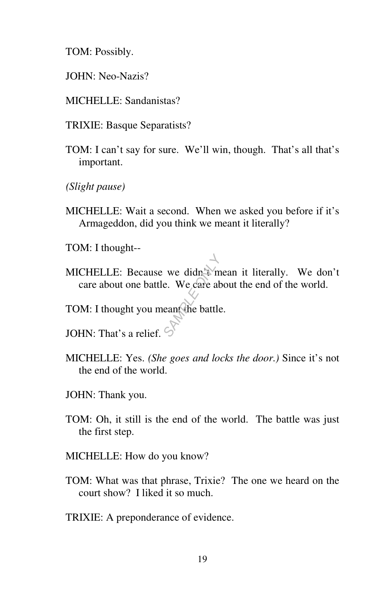TOM: Possibly.

- JOHN: Neo-Nazis?
- MICHELLE: Sandanistas?
- TRIXIE: Basque Separatists?
- TOM: I can't say for sure. We'll win, though. That's all that's important.
- *(Slight pause)*
- MICHELLE: Wait a second. When we asked you before if it's Armageddon, did you think we meant it literally?
- TOM: I thought--
- MICHELLE: Because we didn't mean it literally. We don't care about one battle. We care about the end of the world. we didn't m<br>
e. We care ab<br>
ean the battle<br>
S
- TOM: I thought you meant the battle.
- JOHN: That's a relief.
- MICHELLE: Yes. *(She goes and locks the door.)* Since it's not the end of the world.
- JOHN: Thank you.
- TOM: Oh, it still is the end of the world. The battle was just the first step.
- MICHELLE: How do you know?
- TOM: What was that phrase, Trixie? The one we heard on the court show? I liked it so much.
- TRIXIE: A preponderance of evidence.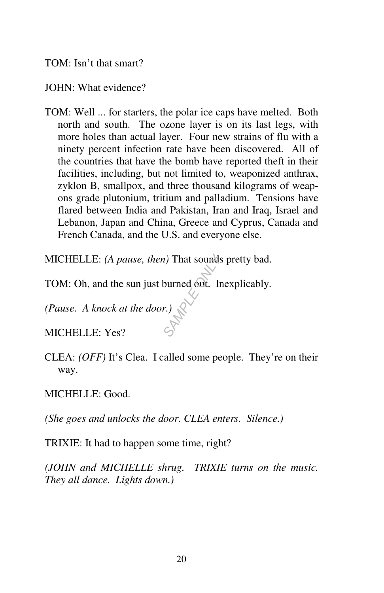# TOM: Isn't that smart?

#### JOHN: What evidence?

TOM: Well ... for starters, the polar ice caps have melted. Both north and south. The ozone layer is on its last legs, with more holes than actual layer. Four new strains of flu with a ninety percent infection rate have been discovered. All of the countries that have the bomb have reported theft in their facilities, including, but not limited to, weaponized anthrax, zyklon B, smallpox, and three thousand kilograms of weapons grade plutonium, tritium and palladium. Tensions have flared between India and Pakistan, Iran and Iraq, Israel and Lebanon, Japan and China, Greece and Cyprus, Canada and French Canada, and the U.S. and everyone else.

MICHELLE: *(A pause, then)* That sounds pretty bad. *a*) That sounds<br>burned out. In<br>*r*.)

TOM: Oh, and the sun just burned out. Inexplicably.

*(Pause. A knock at the door.)* 

MICHELLE: Yes?

CLEA: *(OFF)* It's Clea. I called some people. They're on their way.

MICHELLE: Good.

*(She goes and unlocks the door. CLEA enters. Silence.)* 

TRIXIE: It had to happen some time, right?

*(JOHN and MICHELLE shrug. TRIXIE turns on the music. They all dance. Lights down.)*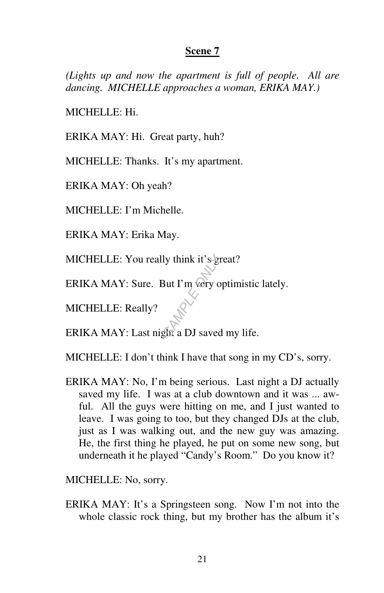*(Lights up and now the apartment is full of people. All are dancing. MICHELLE approaches a woman, ERIKA MAY.)* 

MICHELLE: Hi.

ERIKA MAY: Hi. Great party, huh?

MICHELLE: Thanks. It's my apartment.

ERIKA MAY: Oh yeah?

MICHELLE: I'm Michelle.

ERIKA MAY: Erika May.

MICHELLE: You really think it's  $\text{frac?}$ *SAMPLE ONLY*

ERIKA MAY: Sure. But I'm very optimistic lately.

MICHELLE: Really?

ERIKA MAY: Last night a DJ saved my life.

MICHELLE: I don't think I have that song in my CD's, sorry.

ERIKA MAY: No, I'm being serious. Last night a DJ actually saved my life. I was at a club downtown and it was ... awful. All the guys were hitting on me, and I just wanted to leave. I was going to too, but they changed DJs at the club, just as I was walking out, and the new guy was amazing. He, the first thing he played, he put on some new song, but underneath it he played "Candy's Room." Do you know it?

MICHELLE: No, sorry.

ERIKA MAY: It's a Springsteen song. Now I'm not into the whole classic rock thing, but my brother has the album it's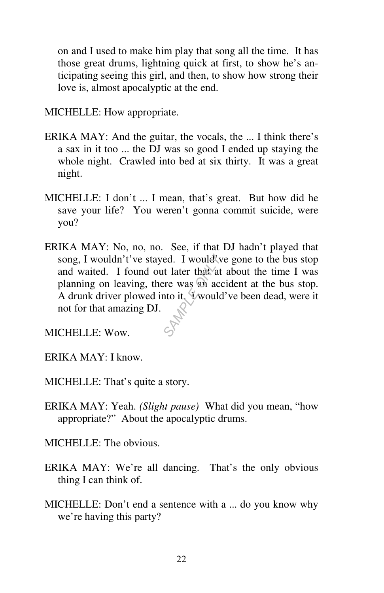on and I used to make him play that song all the time. It has those great drums, lightning quick at first, to show he's anticipating seeing this girl, and then, to show how strong their love is, almost apocalyptic at the end.

MICHELLE: How appropriate.

- ERIKA MAY: And the guitar, the vocals, the ... I think there's a sax in it too ... the DJ was so good I ended up staying the whole night. Crawled into bed at six thirty. It was a great night.
- MICHELLE: I don't ... I mean, that's great. But how did he save your life? You weren't gonna commit suicide, were you?
- ERIKA MAY: No, no, no. See, if that DJ hadn't played that song, I wouldn't've stayed. I would've gone to the bus stop and waited. I found out later that at about the time I was planning on leaving, there was an accident at the bus stop. A drunk driver plowed into it. Y would've been dead, were it not for that amazing DJ. **Example 3**<br>**Example 1**<br>**SAMPLE ONLY 0.5**<br>**SAMPLE ONLY 0.5**<br><br>CONFIDE ONLY 0.5<br>
CONFIDE ONLY 0.5<br>
CONFIDE ONLY 0.5<br>
CONFIDE ONLY 0.5<br>
CONFIDE ONLY 0.5<br>
CONFIDE ONLY 0.5<br>
CONFIDE ONLY 0.5<br>
CONFIDE ONLY 0.5<br>
CONFIDE ONLY 0.5<br>

MICHELLE: Wow.

ERIKA MAY: I know.

MICHELLE: That's quite a story.

ERIKA MAY: Yeah. *(Slight pause)* What did you mean, "how appropriate?" About the apocalyptic drums.

MICHELLE: The obvious.

- ERIKA MAY: We're all dancing. That's the only obvious thing I can think of.
- MICHELLE: Don't end a sentence with a ... do you know why we're having this party?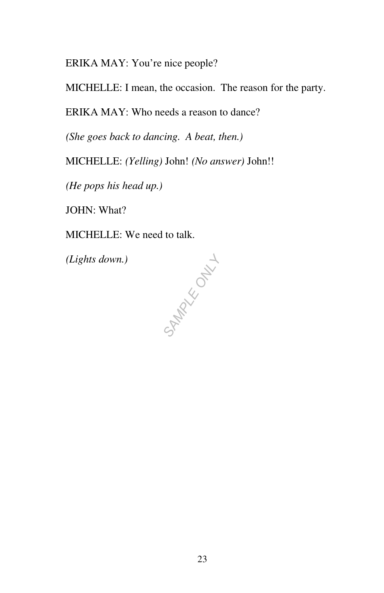ERIKA MAY: You're nice people?

MICHELLE: I mean, the occasion. The reason for the party.

ERIKA MAY: Who needs a reason to dance?

*(She goes back to dancing. A beat, then.)* 

MICHELLE: *(Yelling)* John! *(No answer)* John!!

*(He pops his head up.)* 

JOHN: What?

MICHELLE: We need to talk.

*(Lights down.)*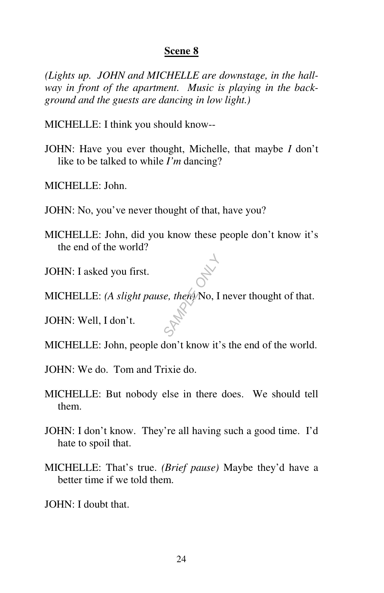*(Lights up. JOHN and MICHELLE are downstage, in the hallway in front of the apartment. Music is playing in the background and the guests are dancing in low light.)* 

MICHELLE: I think you should know--

JOHN: Have you ever thought, Michelle, that maybe *I* don't like to be talked to while *I'm* dancing?

MICHELLE: John.

- JOHN: No, you've never thought of that, have you?
- MICHELLE: John, did you know these people don't know it's the end of the world?

JOHN: I asked you first.

MICHELLE: *(A slight pause, then)* No, I never thought of that. **Example 2 AMPLE ONLY.**<br>
SAMPLE ONLY 0.1

JOHN: Well, I don't.

- MICHELLE: John, people don't know it's the end of the world.
- JOHN: We do. Tom and Trixie do.
- MICHELLE: But nobody else in there does. We should tell them.
- JOHN: I don't know. They're all having such a good time. I'd hate to spoil that.
- MICHELLE: That's true. *(Brief pause)* Maybe they'd have a better time if we told them.

JOHN: I doubt that.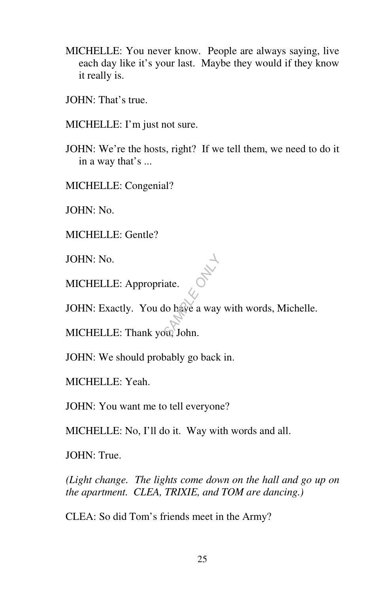- MICHELLE: You never know. People are always saying, live each day like it's your last. Maybe they would if they know it really is.
- JOHN: That's true.
- MICHELLE: I'm just not sure.
- JOHN: We're the hosts, right? If we tell them, we need to do it in a way that's ...

MICHELLE: Congenial?

JOHN: No.

MICHELLE: Gentle?

JOHN: No.

MICHELLE: Appropriate.

JOHN: Exactly. You do have a way with words, Michelle. Extraction of the same of the same of the same of the same of the same of the same of the same of the same of the same of the same of the same of the same of the same of the same of the same of the same of the same of the

MICHELLE: Thank you, John.

JOHN: We should probably go back in.

MICHELLE: Yeah.

JOHN: You want me to tell everyone?

MICHELLE: No, I'll do it. Way with words and all.

JOHN: True.

*(Light change. The lights come down on the hall and go up on the apartment. CLEA, TRIXIE, and TOM are dancing.)*

CLEA: So did Tom's friends meet in the Army?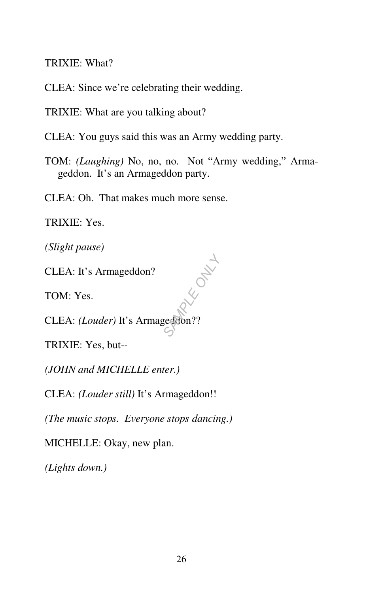TRIXIE: What?

CLEA: Since we're celebrating their wedding.

TRIXIE: What are you talking about?

CLEA: You guys said this was an Army wedding party.

TOM: *(Laughing)* No, no, no. Not "Army wedding," Armageddon. It's an Armageddon party.

CLEA: Oh. That makes much more sense.

TRIXIE: Yes.

*(Slight pause)* 

CLEA: It's Armageddon?

TOM: Yes.

CLEA: *(Louder)* It's Armageddon?? **SAMPLE OF SAMPLE OF SAMPLE OF SAMPLE OF SAMPLE OF SAMPLE OF SAMPLE OF SAMPLE OF SAMPLE OF SAMPLE OF SAMPLE OF S** 

TRIXIE: Yes, but--

*(JOHN and MICHELLE enter.)* 

CLEA: *(Louder still)* It's Armageddon!!

*(The music stops. Everyone stops dancing.)* 

MICHELLE: Okay, new plan.

*(Lights down.)*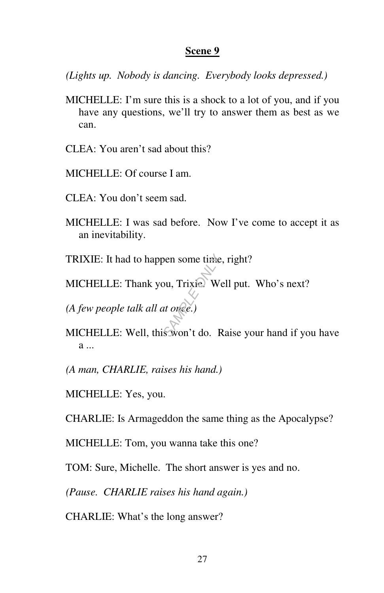*(Lights up. Nobody is dancing. Everybody looks depressed.)* 

- MICHELLE: I'm sure this is a shock to a lot of you, and if you have any questions, we'll try to answer them as best as we can.
- CLEA: You aren't sad about this?
- MICHELLE: Of course I am.
- CLEA: You don't seem sad.
- MICHELLE: I was sad before. Now I've come to accept it as an inevitability.
- TRIXIE: It had to happen some time, right?
- MICHELLE: Thank you, Trixie. Well put. Who's next? **SAMPLE ONLY A**<br> **SAMPLE ONLY A**<br> **SAMPLE ONLY A**<br> **SAMPLE ONLY A**<br> **SAMPLE ONLY A**<br> **SAMPLE ONLY A**

*(A few people talk all at once.)* 

- MICHELLE: Well, this won't do. Raise your hand if you have a ...
- *(A man, CHARLIE, raises his hand.)*
- MICHELLE: Yes, you.

CHARLIE: Is Armageddon the same thing as the Apocalypse?

MICHELLE: Tom, you wanna take this one?

TOM: Sure, Michelle. The short answer is yes and no.

*(Pause. CHARLIE raises his hand again.)* 

CHARLIE: What's the long answer?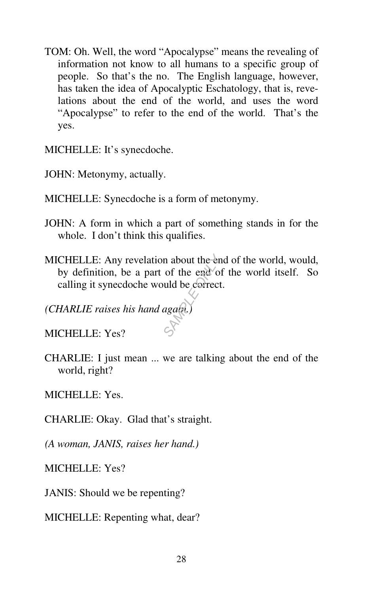TOM: Oh. Well, the word "Apocalypse" means the revealing of information not know to all humans to a specific group of people. So that's the no. The English language, however, has taken the idea of Apocalyptic Eschatology, that is, revelations about the end of the world, and uses the word "Apocalypse" to refer to the end of the world. That's the yes.

MICHELLE: It's synecdoche.

JOHN: Metonymy, actually.

- MICHELLE: Synecdoche is a form of metonymy.
- JOHN: A form in which a part of something stands in for the whole. I don't think this qualifies.
- MICHELLE: Any revelation about the end of the world, would, by definition, be a part of the end of the world itself. So calling it synecdoche would be correct. **SAMPLE ONLY 15 AMPLE ONLY 0.5**<br> **SAMPLE ONLY 0.5**<br> **SAMPLE ONLY 0.5**<br>  $\begin{pmatrix} 1 & 0 \\ 0 & 0 \end{pmatrix}$

*(CHARLIE raises his hand again.)* 

MICHELLE: Yes?

CHARLIE: I just mean ... we are talking about the end of the world, right?

MICHELLE: Yes.

CHARLIE: Okay. Glad that's straight.

*(A woman, JANIS, raises her hand.)* 

MICHELLE: Yes?

JANIS: Should we be repenting?

MICHELLE: Repenting what, dear?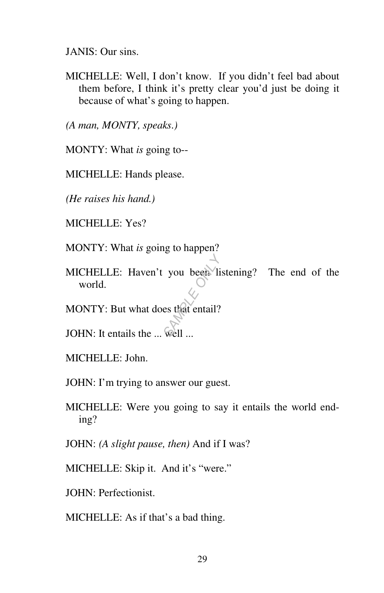JANIS: Our sins.

MICHELLE: Well, I don't know. If you didn't feel bad about them before, I think it's pretty clear you'd just be doing it because of what's going to happen.

*(A man, MONTY, speaks.)* 

MONTY: What *is* going to--

MICHELLE: Hands please.

*(He raises his hand.)* 

MICHELLE: Yes?

MONTY: What *is* going to happen?

MICHELLE: Haven't you been listening? The end of the world. you been li

MONTY: But what does that entail?

JOHN: It entails the ... well ...

MICHELLE: John.

JOHN: I'm trying to answer our guest.

MICHELLE: Were you going to say it entails the world ending?

JOHN: *(A slight pause, then)* And if I was?

MICHELLE: Skip it. And it's "were."

JOHN: Perfectionist.

MICHELLE: As if that's a bad thing.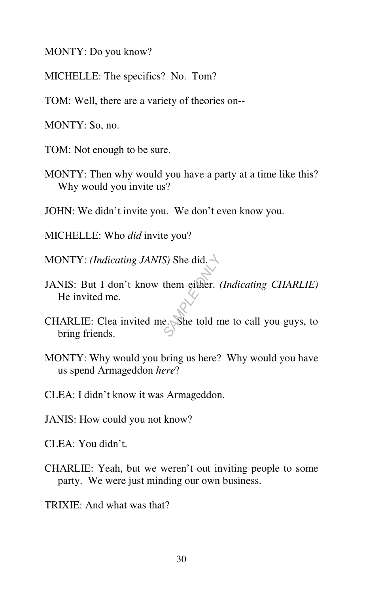MONTY: Do you know?

MICHELLE: The specifics? No. Tom?

TOM: Well, there are a variety of theories on--

MONTY: So, no.

TOM: Not enough to be sure.

MONTY: Then why would you have a party at a time like this? Why would you invite us?

JOHN: We didn't invite you. We don't even know you.

MICHELLE: Who *did* invite you?

MONTY: *(Indicating JANIS)* She did.

- JANIS: But I don't know them either. *(Indicating CHARLIE)* He invited me. *S*) She did.  $\rightarrow$ <br>them either. (<br>e. She told m
- CHARLIE: Clea invited me. She told me to call you guys, to bring friends.
- MONTY: Why would you bring us here? Why would you have us spend Armageddon *here*?

CLEA: I didn't know it was Armageddon.

JANIS: How could you not know?

CLEA: You didn't.

- CHARLIE: Yeah, but we weren't out inviting people to some party. We were just minding our own business.
- TRIXIE: And what was that?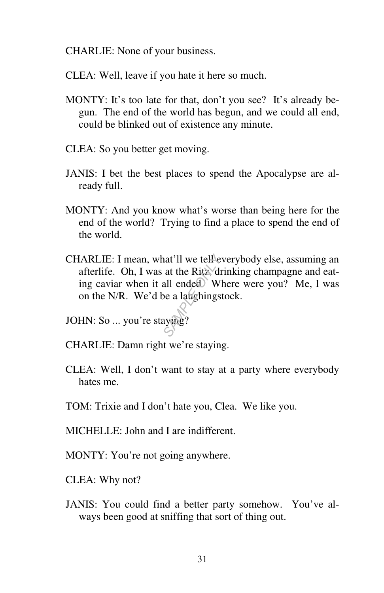CHARLIE: None of your business.

CLEA: Well, leave if you hate it here so much.

- MONTY: It's too late for that, don't you see? It's already begun. The end of the world has begun, and we could all end, could be blinked out of existence any minute.
- CLEA: So you better get moving.
- JANIS: I bet the best places to spend the Apocalypse are already full.
- MONTY: And you know what's worse than being here for the end of the world? Trying to find a place to spend the end of the world.
- CHARLIE: I mean, what'll we tell everybody else, assuming an afterlife. Oh, I was at the Ritz, drinking champagne and eating caviar when it all ended. Where were you? Me, I was on the N/R. We'd be a laughingstock. **SAMPLE ONLY A** at the Ritz diameter of the Ritz of the all ended a window of the all ended by the absolution of the absolution of the system of the system of the system of the system of the system of the system of the sys
- JOHN: So ... you're staying?
- CHARLIE: Damn right we're staying.
- CLEA: Well, I don't want to stay at a party where everybody hates me.
- TOM: Trixie and I don't hate you, Clea. We like you.
- MICHELLE: John and I are indifferent.
- MONTY: You're not going anywhere.
- CLEA: Why not?
- JANIS: You could find a better party somehow. You've always been good at sniffing that sort of thing out.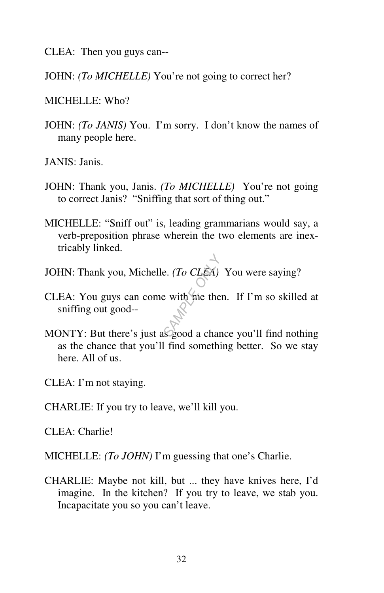CLEA: Then you guys can--

JOHN: *(To MICHELLE)* You're not going to correct her?

 $MICHELLE: Who?$ 

JOHN: *(To JANIS)* You. I'm sorry. I don't know the names of many people here.

JANIS: Janis.

- JOHN: Thank you, Janis. *(To MICHELLE)* You're not going to correct Janis? "Sniffing that sort of thing out."
- MICHELLE: "Sniff out" is, leading grammarians would say, a verb-preposition phrase wherein the two elements are inextricably linked.
- JOHN: Thank you, Michelle. *(To CLEA)* You were saying?
- CLEA: You guys can come with me then. If I'm so skilled at sniffing out good- e. (*To CLEA*)<br>
e with me the<br>
spood a char
- MONTY: But there's just as good a chance you'll find nothing as the chance that you'll find something better. So we stay here. All of us.
- CLEA: I'm not staying.
- CHARLIE: If you try to leave, we'll kill you.

CLEA: Charlie!

- MICHELLE: *(To JOHN)* I'm guessing that one's Charlie.
- CHARLIE: Maybe not kill, but ... they have knives here, I'd imagine. In the kitchen? If you try to leave, we stab you. Incapacitate you so you can't leave.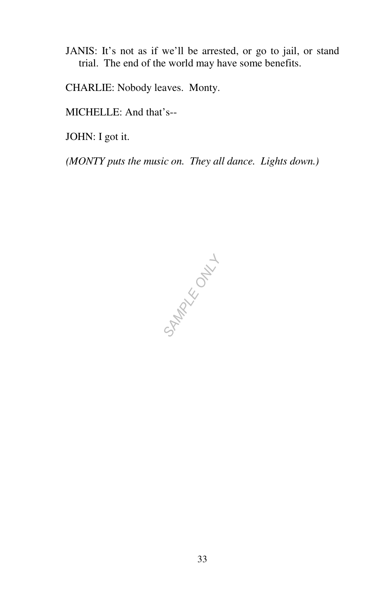- JANIS: It's not as if we'll be arrested, or go to jail, or stand trial. The end of the world may have some benefits.
- CHARLIE: Nobody leaves. Monty.

MICHELLE: And that's--

JOHN: I got it.

*(MONTY puts the music on. They all dance. Lights down.)* 

**SAMPLE ONLY!**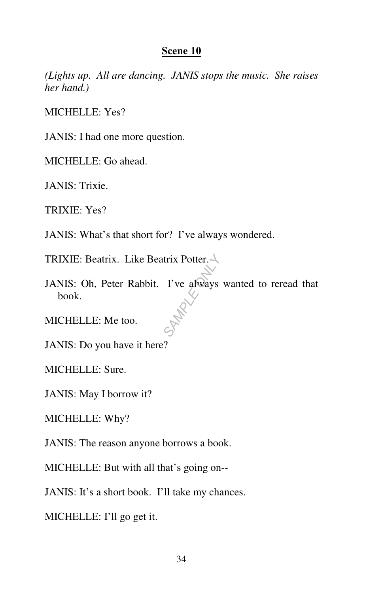*(Lights up. All are dancing. JANIS stops the music. She raises her hand.)* 

MICHELLE: Yes?

JANIS: I had one more question.

MICHELLE: Go ahead.

JANIS: Trixie.

TRIXIE: Yes?

JANIS: What's that short for? I've always wondered.

TRIXIE: Beatrix. Like Beatrix Potter.

JANIS: Oh, Peter Rabbit. I've always wanted to reread that book. *SAMPLE ONLY*

MICHELLE: Me too.

JANIS: Do you have it here?

MICHELLE: Sure.

JANIS: May I borrow it?

MICHELLE: Why?

JANIS: The reason anyone borrows a book.

MICHELLE: But with all that's going on--

JANIS: It's a short book. I'll take my chances.

MICHELLE: I'll go get it.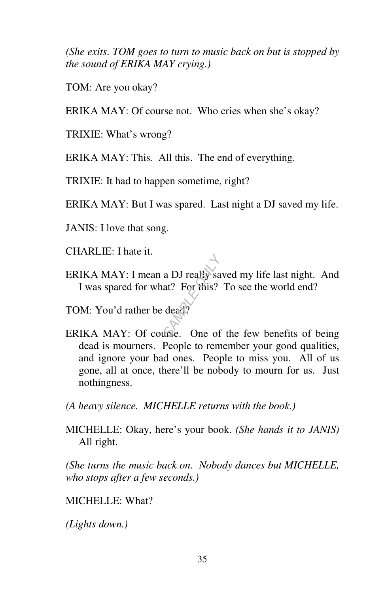*(She exits. TOM goes to turn to music back on but is stopped by the sound of ERIKA MAY crying.)* 

TOM: Are you okay?

ERIKA MAY: Of course not. Who cries when she's okay?

TRIXIE: What's wrong?

ERIKA MAY: This. All this. The end of everything.

TRIXIE: It had to happen sometime, right?

ERIKA MAY: But I was spared. Last night a DJ saved my life.

JANIS: I love that song.

CHARLIE: I hate it.

ERIKA MAY: I mean a DJ really saved my life last night. And I was spared for what? For this? To see the world end? ERIKA MAY: I mean a DJ realty saved my life last night. And<br>
I was spared for what? For this? To see the world end?<br> **TOM:** You'd rather be dead?<br> **ERIKA MAY:** Of course. One of the few benefits of being

TOM: You'd rather be dead?

dead is mourners. People to remember your good qualities, and ignore your bad ones. People to miss you. All of us gone, all at once, there'll be nobody to mourn for us. Just nothingness.

*(A heavy silence. MICHELLE returns with the book.)*

MICHELLE: Okay, here's your book. *(She hands it to JANIS)* All right.

*(She turns the music back on. Nobody dances but MICHELLE, who stops after a few seconds.)* 

MICHELLE: What?

*(Lights down.)*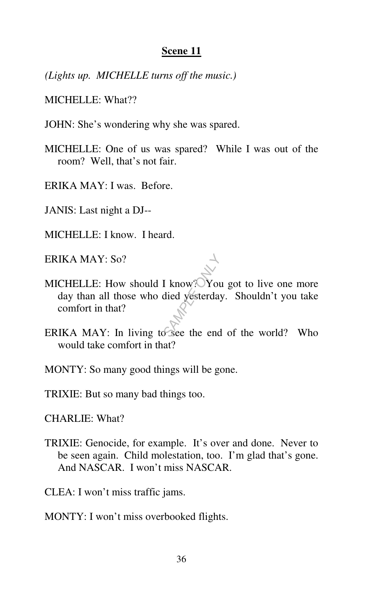*(Lights up. MICHELLE turns off the music.)* 

MICHELLE: What??

JOHN: She's wondering why she was spared.

MICHELLE: One of us was spared? While I was out of the room? Well, that's not fair.

ERIKA MAY: I was. Before.

- JANIS: Last night a DJ--
- MICHELLE: I know. I heard.

ERIKA MAY: So?

- MICHELLE: How should I know? You got to live one more day than all those who died yesterday. Shouldn't you take comfort in that? I know? You<br>died yesterday<br>See the end
- ERIKA MAY: In living to see the end of the world? Who would take comfort in that?
- MONTY: So many good things will be gone.
- TRIXIE: But so many bad things too.

CHARLIE: What?

TRIXIE: Genocide, for example. It's over and done. Never to be seen again. Child molestation, too. I'm glad that's gone. And NASCAR. I won't miss NASCAR.

CLEA: I won't miss traffic jams.

MONTY: I won't miss overbooked flights.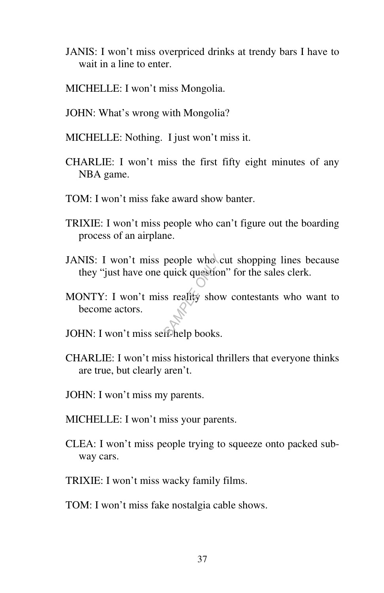- JANIS: I won't miss overpriced drinks at trendy bars I have to wait in a line to enter.
- MICHELLE: I won't miss Mongolia.
- JOHN: What's wrong with Mongolia?
- MICHELLE: Nothing. I just won't miss it.
- CHARLIE: I won't miss the first fifty eight minutes of any NBA game.
- TOM: I won't miss fake award show banter.
- TRIXIE: I won't miss people who can't figure out the boarding process of an airplane.
- JANIS: I won't miss people who cut shopping lines because they "just have one quick question" for the sales clerk.
- MONTY: I won't miss reality show contestants who want to become actors. people who contract question<br>six reality show<br>*SAMPLE* on the process of the process of the process of the process of the process of the process of the process of the process of the process of the process of the process of
- JOHN: I won't miss self-help books.
- CHARLIE: I won't miss historical thrillers that everyone thinks are true, but clearly aren't.
- JOHN: I won't miss my parents.
- MICHELLE: I won't miss your parents.
- CLEA: I won't miss people trying to squeeze onto packed subway cars.
- TRIXIE: I won't miss wacky family films.
- TOM: I won't miss fake nostalgia cable shows.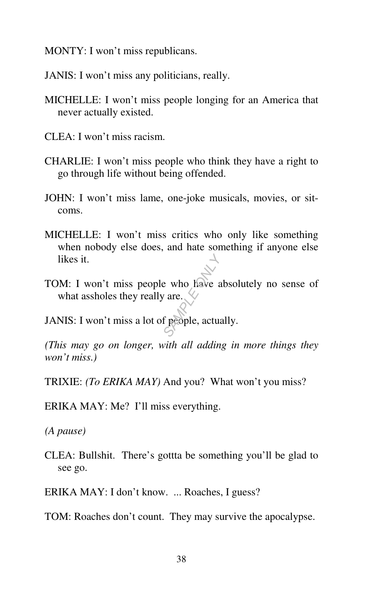MONTY: I won't miss republicans.

JANIS: I won't miss any politicians, really.

- MICHELLE: I won't miss people longing for an America that never actually existed.
- CLEA: I won't miss racism.
- CHARLIE: I won't miss people who think they have a right to go through life without being offended.
- JOHN: I won't miss lame, one-joke musicals, movies, or sitcoms.
- MICHELLE: I won't miss critics who only like something when nobody else does, and hate something if anyone else likes it.
- TOM: I won't miss people who have absolutely no sense of what assholes they really are.  $\vee$ e who have a<br> *n* are.<br> *S*<br> *S*<br> *S*

JANIS: I won't miss a lot of people, actually.

*(This may go on longer, with all adding in more things they won't miss.)* 

TRIXIE: *(To ERIKA MAY)* And you? What won't you miss?

ERIKA MAY: Me? I'll miss everything.

*(A pause)* 

CLEA: Bullshit. There's gottta be something you'll be glad to see go.

ERIKA MAY: I don't know. ... Roaches, I guess?

TOM: Roaches don't count. They may survive the apocalypse.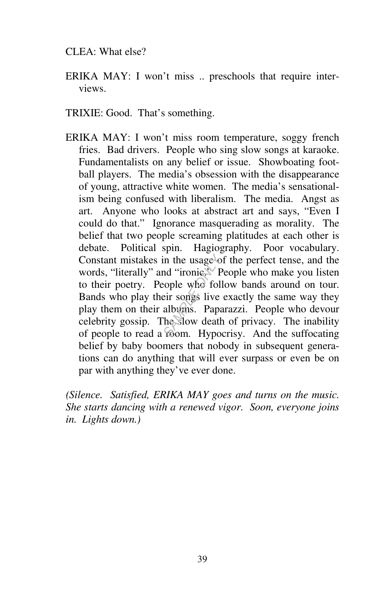#### CLEA: What else?

- ERIKA MAY: I won't miss .. preschools that require interviews.
- TRIXIE: Good. That's something.
- ERIKA MAY: I won't miss room temperature, soggy french fries. Bad drivers. People who sing slow songs at karaoke. Fundamentalists on any belief or issue. Showboating football players. The media's obsession with the disappearance of young, attractive white women. The media's sensationalism being confused with liberalism. The media. Angst as art. Anyone who looks at abstract art and says, "Even I could do that." Ignorance masquerading as morality. The belief that two people screaming platitudes at each other is debate. Political spin. Hagiography. Poor vocabulary. Constant mistakes in the usage of the perfect tense, and the words, "literally" and "ironic.<sup>35</sup> People who make you listen to their poetry. People who follow bands around on tour. Bands who play their songs live exactly t words, "literally" and "ironic." People who make you listen to their poetry. People who follow bands around on tour. Bands who play their songs live exactly the same way they play them on their albums. Paparazzi. People who devour celebrity gossip. The slow death of privacy. The inability of people to read a room. Hypocrisy. And the suffocating belief by baby boomers that nobody in subsequent generations can do anything that will ever surpass or even be on par with anything they've ever done.

*(Silence. Satisfied, ERIKA MAY goes and turns on the music. She starts dancing with a renewed vigor. Soon, everyone joins in. Lights down.)*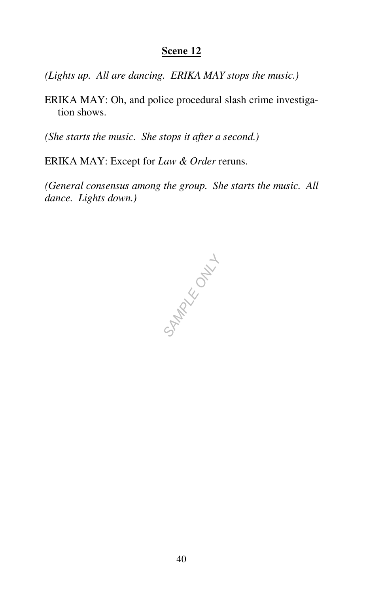*(Lights up. All are dancing. ERIKA MAY stops the music.)* 

ERIKA MAY: Oh, and police procedural slash crime investigation shows.

*(She starts the music. She stops it after a second.)* 

ERIKA MAY: Except for *Law & Order* reruns.

*(General consensus among the group. She starts the music. All dance. Lights down.)* 

**SAMPLE ONLY L**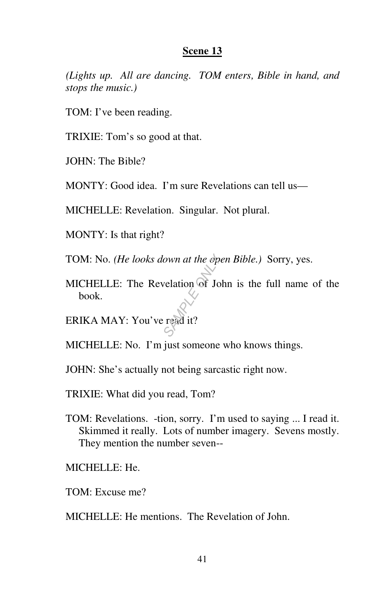*(Lights up. All are dancing. TOM enters, Bible in hand, and stops the music.)* 

TOM: I've been reading.

TRIXIE: Tom's so good at that.

JOHN: The Bible?

MONTY: Good idea. I'm sure Revelations can tell us—

MICHELLE: Revelation. Singular. Not plural.

MONTY: Is that right?

TOM: No. *(He looks down at the open Bible.)* Sorry, yes.

MICHELLE: The Revelation of John is the full name of the book. *Sample on at the operation*<br> *SAMPLE*<br> *SAMPLE*<br> *SAMPLE* 

ERIKA MAY: You've read it?

MICHELLE: No. I'm just someone who knows things.

JOHN: She's actually not being sarcastic right now.

TRIXIE: What did you read, Tom?

- TOM: Revelations. -tion, sorry. I'm used to saying ... I read it. Skimmed it really. Lots of number imagery. Sevens mostly. They mention the number seven--
- MICHELLE: He.
- TOM: Excuse me?
- MICHELLE: He mentions. The Revelation of John.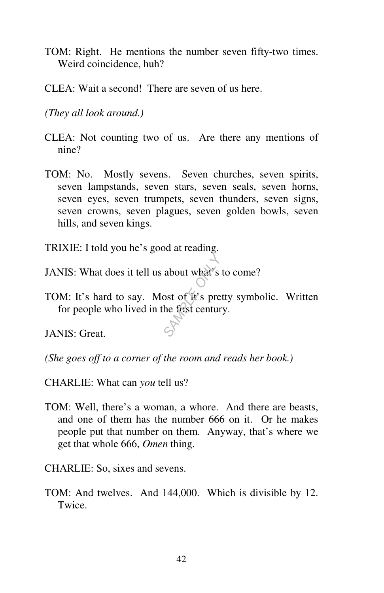- TOM: Right. He mentions the number seven fifty-two times. Weird coincidence, huh?
- CLEA: Wait a second! There are seven of us here.

*(They all look around.)* 

- CLEA: Not counting two of us. Are there any mentions of nine?
- TOM: No. Mostly sevens. Seven churches, seven spirits, seven lampstands, seven stars, seven seals, seven horns, seven eyes, seven trumpets, seven thunders, seven signs, seven crowns, seven plagues, seven golden bowls, seven hills, and seven kings.
- TRIXIE: I told you he's good at reading.
- JANIS: What does it tell us about what's to come?
- TOM: It's hard to say. Most of it's pretty symbolic. Written for people who lived in the first century. **SAMPLE OF STRANGE OF STRANGE OR STRANGE OR STRANGE OR STRANGE OR STRANGE OR STRANGE OF STRANGE OR STRANGE OR STRANGE OR STRANGE OR STRANGE OR STRANGE OR STRANGE OR STRANGE OR STRANGE OF STRANGE OR STRANGE OR STRANGE OR ST**

JANIS: Great.

*(She goes off to a corner of the room and reads her book.)* 

CHARLIE: What can *you* tell us?

TOM: Well, there's a woman, a whore. And there are beasts, and one of them has the number 666 on it. Or he makes people put that number on them. Anyway, that's where we get that whole 666, *Omen* thing.

CHARLIE: So, sixes and sevens.

TOM: And twelves. And 144,000. Which is divisible by 12. Twice.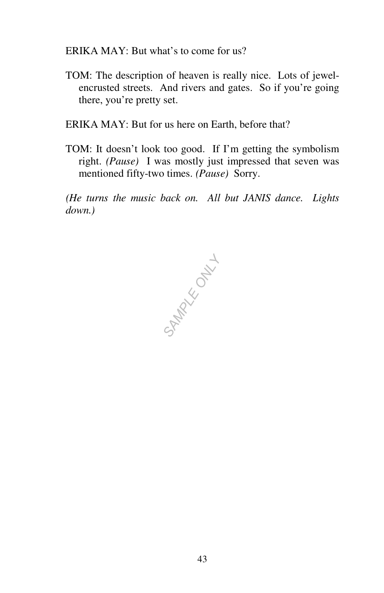ERIKA MAY: But what's to come for us?

- TOM: The description of heaven is really nice. Lots of jewelencrusted streets. And rivers and gates. So if you're going there, you're pretty set.
- ERIKA MAY: But for us here on Earth, before that?
- TOM: It doesn't look too good. If I'm getting the symbolism right. *(Pause)* I was mostly just impressed that seven was mentioned fifty-two times. *(Pause)* Sorry.

*(He turns the music back on. All but JANIS dance. Lights down.)* 

**SAMPLE ONLY**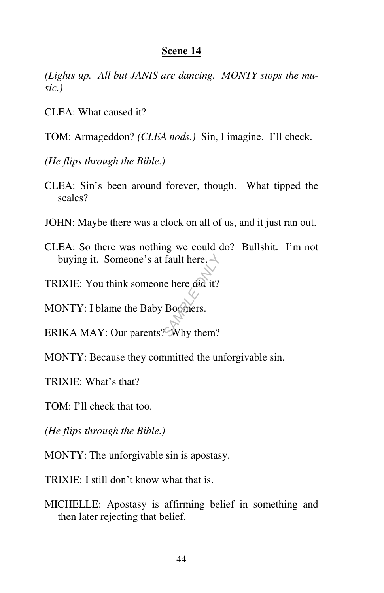*(Lights up. All but JANIS are dancing. MONTY stops the music.)* 

CLEA: What caused it?

TOM: Armageddon? *(CLEA nods.)* Sin, I imagine. I'll check.

*(He flips through the Bible.)* 

- CLEA: Sin's been around forever, though. What tipped the scales?
- JOHN: Maybe there was a clock on all of us, and it just ran out.
- CLEA: So there was nothing we could do? Bullshit. I'm not buying it. Someone's at fault here.  $\rightarrow$ buying it. Someone's at fault here.<br> **TRIXIE:** You think someone here did it?<br> **MONTY:** I blame the Baby Boomers.<br> **ERIKA MAY:** Our parents? Why them?

TRIXIE: You think someone here did it?

MONTY: I blame the Baby Boomers.

MONTY: Because they committed the unforgivable sin.

TRIXIE: What's that?

TOM: I'll check that too.

*(He flips through the Bible.)* 

MONTY: The unforgivable sin is apostasy.

TRIXIE: I still don't know what that is.

MICHELLE: Apostasy is affirming belief in something and then later rejecting that belief.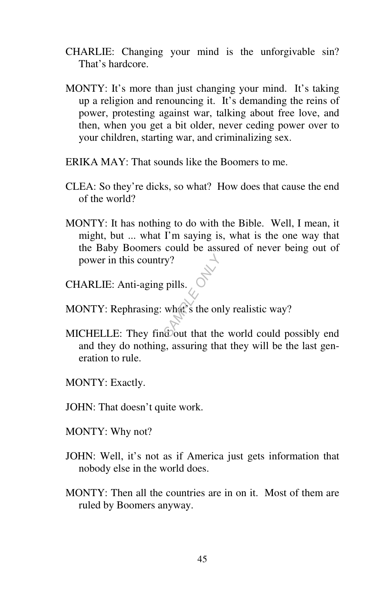- CHARLIE: Changing your mind is the unforgivable sin? That's hardcore.
- MONTY: It's more than just changing your mind. It's taking up a religion and renouncing it. It's demanding the reins of power, protesting against war, talking about free love, and then, when you get a bit older, never ceding power over to your children, starting war, and criminalizing sex.
- ERIKA MAY: That sounds like the Boomers to me.
- CLEA: So they're dicks, so what? How does that cause the end of the world?
- MONTY: It has nothing to do with the Bible. Well, I mean, it might, but ... what I'm saying is, what is the one way that the Baby Boomers could be assured of never being out of power in this country? *SAMPLE*<br>
SAMPLE ONLY THE ONLY STATE ONLY THE ONLY THE ONLY THE ONLY THE ONLY THE ONLY THE ONLY THE ONLY THE ONLY THE ONLY THE ONLY THE ONLY THE ONLY THE ONLY THE ONLY THE ONLY THE ONLY THE ONLY THE ONLY THE ONLY THE ONLY
- CHARLIE: Anti-aging pills.
- MONTY: Rephrasing: what's the only realistic way?
- MICHELLE: They find out that the world could possibly end and they do nothing, assuring that they will be the last generation to rule.
- MONTY: Exactly.
- JOHN: That doesn't quite work.
- MONTY: Why not?
- JOHN: Well, it's not as if America just gets information that nobody else in the world does.
- MONTY: Then all the countries are in on it. Most of them are ruled by Boomers anyway.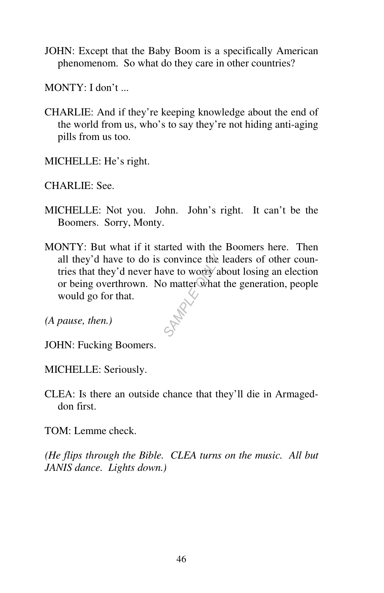JOHN: Except that the Baby Boom is a specifically American phenomenom. So what do they care in other countries?

 $MONTY: I don't$ 

CHARLIE: And if they're keeping knowledge about the end of the world from us, who's to say they're not hiding anti-aging pills from us too.

MICHELLE: He's right.

CHARLIE: See.

- MICHELLE: Not you. John. John's right. It can't be the Boomers. Sorry, Monty.
- MONTY: But what if it started with the Boomers here. Then all they'd have to do is convince the leaders of other countries that they'd never have to worry about losing an election or being overthrown. No matter what the generation, people would go for that. convince the<br>we to worry all<br>o matter what<br> $\sim$

*(A pause, then.)* 

JOHN: Fucking Boomers.

MICHELLE: Seriously.

CLEA: Is there an outside chance that they'll die in Armageddon first.

TOM: Lemme check.

*(He flips through the Bible. CLEA turns on the music. All but JANIS dance. Lights down.)*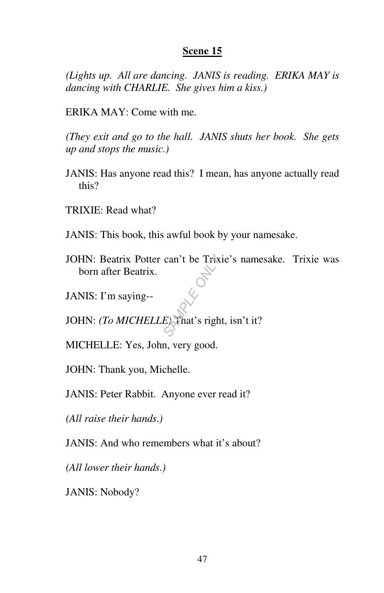*(Lights up. All are dancing. JANIS is reading. ERIKA MAY is dancing with CHARLIE. She gives him a kiss.)* 

ERIKA MAY: Come with me.

*(They exit and go to the hall. JANIS shuts her book. She gets up and stops the music.)* 

- JANIS: Has anyone read this? I mean, has anyone actually read this?
- TRIXIE: Read what?
- JANIS: This book, this awful book by your namesake.
- JOHN: Beatrix Potter can't be Trixie's namesake. Trixie was born after Beatrix. can't be Trix<br>
SAMPLE ONLY<br>
Example of Sample of Sample of Sample of Sample of Sample of Sample of Sample of Sample of Sample of Sample of Sample of Sample of Sample of Sample of Sample of Sample of Sample of Sample of Sam
- JANIS: I'm saying--

JOHN: *(To MICHELLE)* That's right, isn't it?

MICHELLE: Yes, John, very good.

JOHN: Thank you, Michelle.

JANIS: Peter Rabbit. Anyone ever read it?

*(All raise their hands.)* 

JANIS: And who remembers what it's about?

*(All lower their hands.)* 

JANIS: Nobody?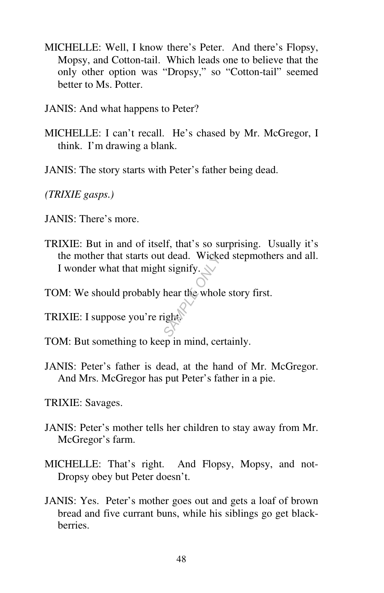- MICHELLE: Well, I know there's Peter. And there's Flopsy, Mopsy, and Cotton-tail. Which leads one to believe that the only other option was "Dropsy," so "Cotton-tail" seemed better to Ms. Potter.
- JANIS: And what happens to Peter?
- MICHELLE: I can't recall. He's chased by Mr. McGregor, I think. I'm drawing a blank.
- JANIS: The story starts with Peter's father being dead.

*(TRIXIE gasps.)* 

- JANIS: There's more.
- TRIXIE: But in and of itself, that's so surprising. Usually it's the mother that starts out dead. Wicked stepmothers and all. I wonder what that might signify. *SAMPLE* CONCRETE CONCRETE ONLY NOTE OF A BUTCH OF A BUTCH OF A BUTCH OF A BUTCH OF A BUTCH OF A BUTCH OF A BUTCH OF A BUTCH OF A BUTCH OF A BUTCH OF A BUTCH OF A BUTCH OF A BUTCH OF A BUTCH OF A BUTCH OF A BUTCH OF A BUTC
- TOM: We should probably hear the whole story first.
- TRIXIE: I suppose you're right.
- TOM: But something to keep in mind, certainly.
- JANIS: Peter's father is dead, at the hand of Mr. McGregor. And Mrs. McGregor has put Peter's father in a pie.

TRIXIE: Savages.

- JANIS: Peter's mother tells her children to stay away from Mr. McGregor's farm.
- MICHELLE: That's right. And Flopsy, Mopsy, and not-Dropsy obey but Peter doesn't.
- JANIS: Yes. Peter's mother goes out and gets a loaf of brown bread and five currant buns, while his siblings go get blackberries.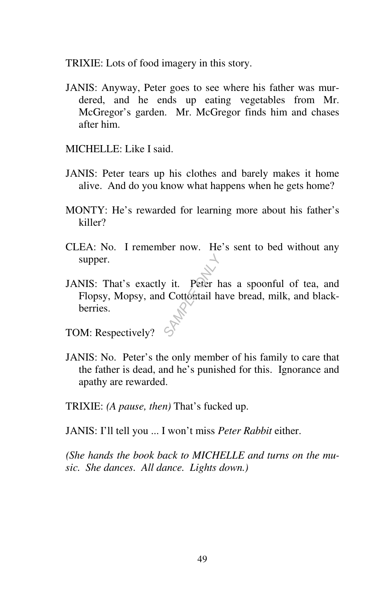TRIXIE: Lots of food imagery in this story.

- JANIS: Anyway, Peter goes to see where his father was murdered, and he ends up eating vegetables from Mr. McGregor's garden. Mr. McGregor finds him and chases after him.
- MICHELLE: Like I said.
- JANIS: Peter tears up his clothes and barely makes it home alive. And do you know what happens when he gets home?
- MONTY: He's rewarded for learning more about his father's killer?
- CLEA: No. I remember now. He's sent to bed without any supper.
- JANIS: That's exactly it. Peter has a spoonful of tea, and Flopsy, Mopsy, and Cottontail have bread, milk, and blackberries. **SAMPLE OF SAMPLE OF SAMPLE OF SAMPLE OF SAMPLE OF SAMPLE OF SAMPLE OF SAMPLE OF SAMPLE OF SAMPLE OF SAMPLE OF SAMPLE OF SAMPLE OF SAMPLE OF SAMPLE OF SAMPLE OF SAMPLE OF SAMPLE OF SAMPLE OF SAMPLE OF SAMPLE OF SAMPLE OF S**
- TOM: Respectively?
- JANIS: No. Peter's the only member of his family to care that the father is dead, and he's punished for this. Ignorance and apathy are rewarded.

TRIXIE: *(A pause, then)* That's fucked up.

JANIS: I'll tell you ... I won't miss *Peter Rabbit* either.

*(She hands the book back to MICHELLE and turns on the music. She dances. All dance. Lights down.)*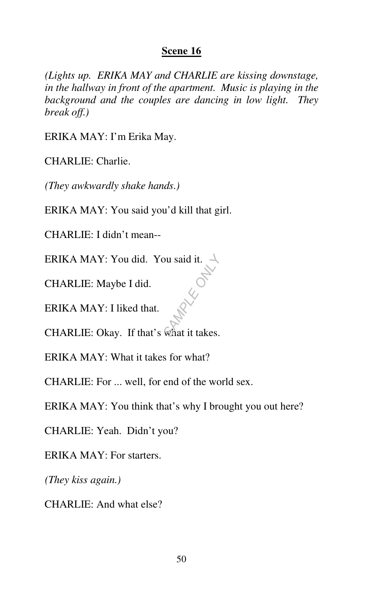*(Lights up. ERIKA MAY and CHARLIE are kissing downstage, in the hallway in front of the apartment. Music is playing in the background and the couples are dancing in low light. They break off.)* 

ERIKA MAY: I'm Erika May.

CHARLIE: Charlie.

*(They awkwardly shake hands.)* 

ERIKA MAY: You said you'd kill that girl.

CHARLIE: I didn't mean--

ERIKA MAY: You did. You said it.  $\rightarrow$ *SAMPLE ONLY*

CHARLIE: Maybe I did.

ERIKA MAY: I liked that.

CHARLIE: Okay. If that's what it takes.

ERIKA MAY: What it takes for what?

CHARLIE: For ... well, for end of the world sex.

ERIKA MAY: You think that's why I brought you out here?

CHARLIE: Yeah. Didn't you?

ERIKA MAY: For starters.

*(They kiss again.)* 

CHARLIE: And what else?